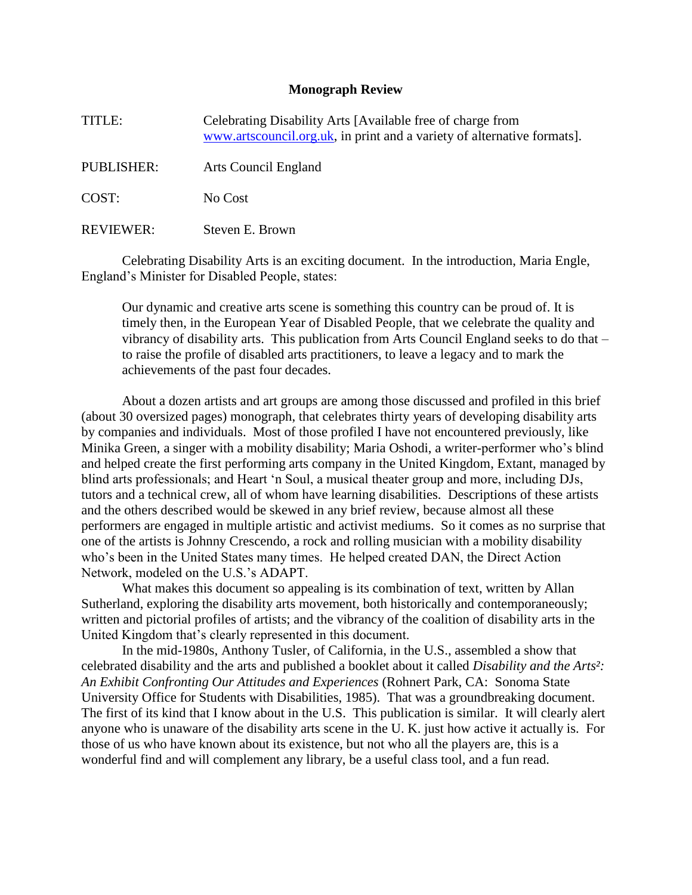## **Monograph Review**

TITLE: Celebrating Disability Arts [Available free of charge from [www.artscouncil.org.uk,](http://www.artscouncil.org.uk/) in print and a variety of alternative formats].

PUBLISHER: Arts Council England

COST: No Cost

REVIEWER: Steven E. Brown

Celebrating Disability Arts is an exciting document. In the introduction, Maria Engle, England's Minister for Disabled People, states:

Our dynamic and creative arts scene is something this country can be proud of. It is timely then, in the European Year of Disabled People, that we celebrate the quality and vibrancy of disability arts. This publication from Arts Council England seeks to do that – to raise the profile of disabled arts practitioners, to leave a legacy and to mark the achievements of the past four decades.

About a dozen artists and art groups are among those discussed and profiled in this brief (about 30 oversized pages) monograph, that celebrates thirty years of developing disability arts by companies and individuals. Most of those profiled I have not encountered previously, like Minika Green, a singer with a mobility disability; Maria Oshodi, a writer-performer who's blind and helped create the first performing arts company in the United Kingdom, Extant, managed by blind arts professionals; and Heart 'n Soul, a musical theater group and more, including DJs, tutors and a technical crew, all of whom have learning disabilities. Descriptions of these artists and the others described would be skewed in any brief review, because almost all these performers are engaged in multiple artistic and activist mediums. So it comes as no surprise that one of the artists is Johnny Crescendo, a rock and rolling musician with a mobility disability who's been in the United States many times. He helped created DAN, the Direct Action Network, modeled on the U.S.'s ADAPT.

What makes this document so appealing is its combination of text, written by Allan Sutherland, exploring the disability arts movement, both historically and contemporaneously; written and pictorial profiles of artists; and the vibrancy of the coalition of disability arts in the United Kingdom that's clearly represented in this document.

In the mid-1980s, Anthony Tusler, of California, in the U.S., assembled a show that celebrated disability and the arts and published a booklet about it called *Disability and the Arts²: An Exhibit Confronting Our Attitudes and Experiences* (Rohnert Park, CA: Sonoma State University Office for Students with Disabilities, 1985). That was a groundbreaking document. The first of its kind that I know about in the U.S. This publication is similar. It will clearly alert anyone who is unaware of the disability arts scene in the U. K. just how active it actually is. For those of us who have known about its existence, but not who all the players are, this is a wonderful find and will complement any library, be a useful class tool, and a fun read.